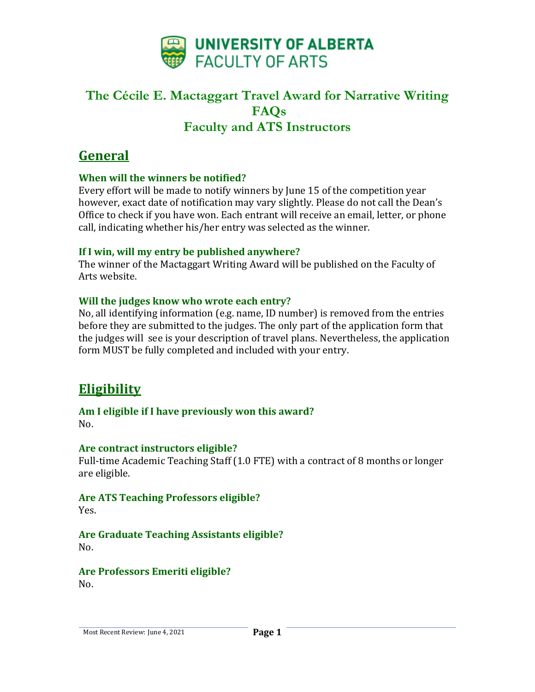

# **General**

### **When will the winners be notified?**

Every effort will be made to notify winners by June 15 of the competition year however, exact date of notification may vary slightly. Please do not call the Dean's Office to check if you have won. Each entrant will receive an email, letter, or phone call, indicating whether his/her entry was selected as the winner.

#### **If I win, will my entry be published anywhere?**

The winner of the Mactaggart Writing Award will be published on the Faculty of Arts website.

### **Will the judges know who wrote each entry?**

No, all identifying information (e.g. name, ID number) is removed from the entries before they are submitted to the judges. The only part of the application form that the judges will see is your description of travel plans. Nevertheless, the application form MUST be fully completed and included with your entry.

# **Eligibility**

#### **Am I eligible if I have previously won this award?** No.

#### **Are contract instructors eligible?**

Full-time Academic Teaching Staff (1.0 FTE) with a contract of 8 months or longer are eligible.

## **Are ATS Teaching Professors eligible?**

Yes.

## **Are Graduate Teaching Assistants eligible?**

No.

**Are Professors Emeriti eligible?**  $N_{\Omega}$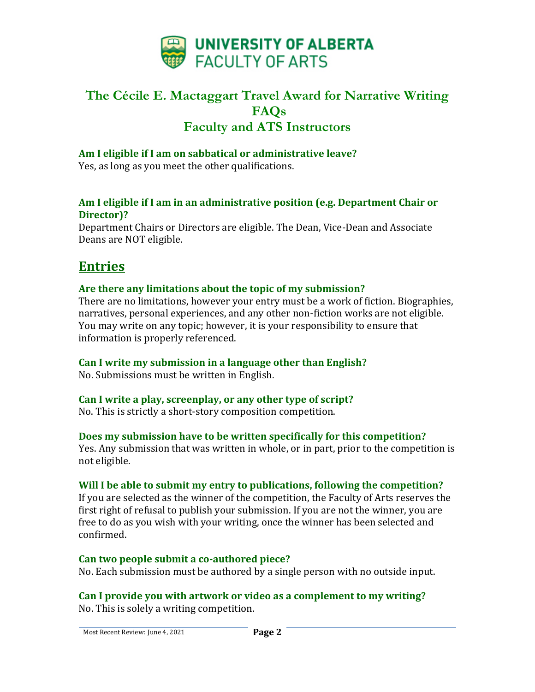

### **Am I eligible if I am on sabbatical or administrative leave?**

Yes, as long as you meet the other qualifications.

#### **Am I eligible if I am in an administrative position (e.g. Department Chair or Director)?**

Department Chairs or Directors are eligible. The Dean, Vice-Dean and Associate Deans are NOT eligible.

## **Entries**

### **Are there any limitations about the topic of my submission?**

There are no limitations, however your entry must be a work of fiction. Biographies, narratives, personal experiences, and any other non-fiction works are not eligible. You may write on any topic; however, it is your responsibility to ensure that information is properly referenced.

### **Can I write my submission in a language other than English?**

No. Submissions must be written in English.

### **Can I write a play, screenplay, or any other type of script?**

No. This is strictly a short-story composition competition.

#### **Does my submission have to be written specifically for this competition?**

Yes. Any submission that was written in whole, or in part, prior to the competition is not eligible.

### **Will I be able to submit my entry to publications, following the competition?**

If you are selected as the winner of the competition, the Faculty of Arts reserves the first right of refusal to publish your submission. If you are not the winner, you are free to do as you wish with your writing, once the winner has been selected and confirmed.

#### **Can two people submit a co-authored piece?**

No. Each submission must be authored by a single person with no outside input.

**Can I provide you with artwork or video as a complement to my writing?** No. This is solely a writing competition.

Most Recent Review: June 4, 2021 **Page 2**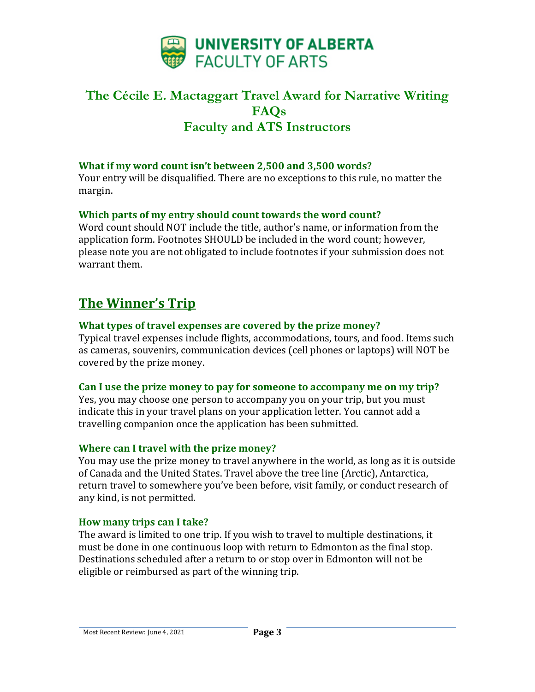

#### **What if my word count isn't between 2,500 and 3,500 words?**

Your entry will be disqualified. There are no exceptions to this rule, no matter the margin.

#### **Which parts of my entry should count towards the word count?**

Word count should NOT include the title, author's name, or information from the application form. Footnotes SHOULD be included in the word count; however, please note you are not obligated to include footnotes if your submission does not warrant them.

# **The Winner's Trip**

#### **What types of travel expenses are covered by the prize money?**

Typical travel expenses include flights, accommodations, tours, and food. Items such as cameras, souvenirs, communication devices (cell phones or laptops) will NOT be covered by the prize money.

#### **Can I use the prize money to pay for someone to accompany me on my trip?**

Yes, you may choose one person to accompany you on your trip, but you must indicate this in your travel plans on your application letter. You cannot add a travelling companion once the application has been submitted.

#### **Where can I travel with the prize money?**

You may use the prize money to travel anywhere in the world, as long as it is outside of Canada and the United States. Travel above the tree line (Arctic), Antarctica, return travel to somewhere you've been before, visit family, or conduct research of any kind, is not permitted.

#### **How many trips can I take?**

The award is limited to one trip. If you wish to travel to multiple destinations, it must be done in one continuous loop with return to Edmonton as the final stop. Destinations scheduled after a return to or stop over in Edmonton will not be eligible or reimbursed as part of the winning trip.